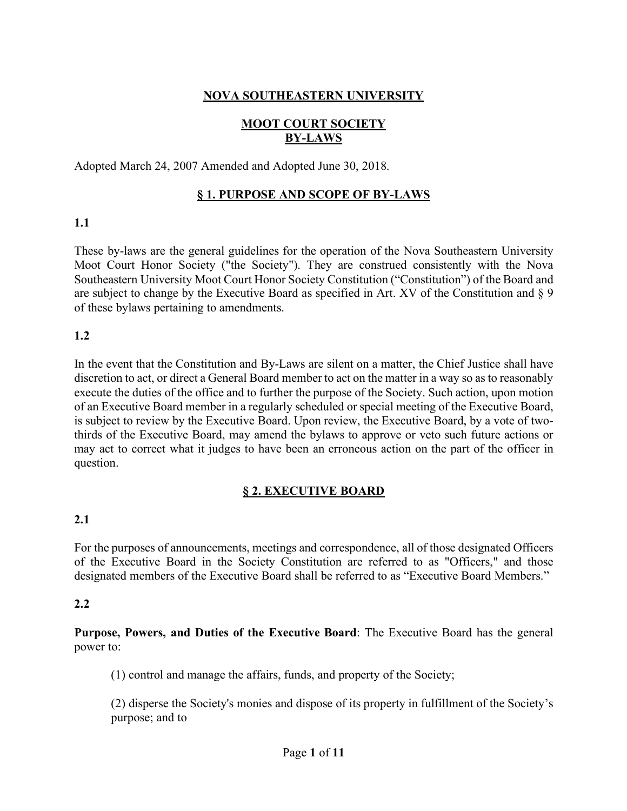## **NOVA SOUTHEASTERN UNIVERSITY**

# **MOOT COURT SOCIETY BY-LAWS**

Adopted March 24, 2007 Amended and Adopted June 30, 2018.

## **§ 1. PURPOSE AND SCOPE OF BY-LAWS**

## **1.1**

These by-laws are the general guidelines for the operation of the Nova Southeastern University Moot Court Honor Society ("the Society"). They are construed consistently with the Nova Southeastern University Moot Court Honor Society Constitution ("Constitution") of the Board and are subject to change by the Executive Board as specified in Art. XV of the Constitution and § 9 of these bylaws pertaining to amendments.

### **1.2**

In the event that the Constitution and By-Laws are silent on a matter, the Chief Justice shall have discretion to act, or direct a General Board member to act on the matter in a way so as to reasonably execute the duties of the office and to further the purpose of the Society. Such action, upon motion of an Executive Board member in a regularly scheduled or special meeting of the Executive Board, is subject to review by the Executive Board. Upon review, the Executive Board, by a vote of twothirds of the Executive Board, may amend the bylaws to approve or veto such future actions or may act to correct what it judges to have been an erroneous action on the part of the officer in question.

## **§ 2. EXECUTIVE BOARD**

### **2.1**

For the purposes of announcements, meetings and correspondence, all of those designated Officers of the Executive Board in the Society Constitution are referred to as "Officers," and those designated members of the Executive Board shall be referred to as "Executive Board Members."

### **2.2**

**Purpose, Powers, and Duties of the Executive Board**: The Executive Board has the general power to:

(1) control and manage the affairs, funds, and property of the Society;

(2) disperse the Society's monies and dispose of its property in fulfillment of the Society's purpose; and to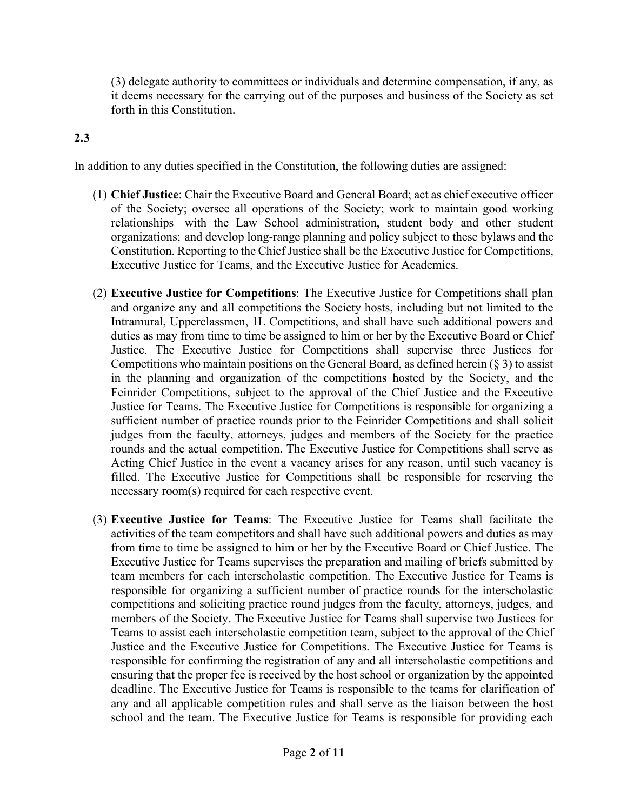(3) delegate authority to committees or individuals and determine compensation, if any, as it deems necessary for the carrying out of the purposes and business of the Society as set forth in this Constitution.

## **2.3**

In addition to any duties specified in the Constitution, the following duties are assigned:

- (1) **Chief Justice**: Chair the Executive Board and General Board; act as chief executive officer of the Society; oversee all operations of the Society; work to maintain good working relationships with the Law School administration, student body and other student organizations; and develop long-range planning and policy subject to these bylaws and the Constitution. Reporting to the Chief Justice shall be the Executive Justice for Competitions, Executive Justice for Teams, and the Executive Justice for Academics.
- (2) **Executive Justice for Competitions**: The Executive Justice for Competitions shall plan and organize any and all competitions the Society hosts, including but not limited to the Intramural, Upperclassmen, 1L Competitions, and shall have such additional powers and duties as may from time to time be assigned to him or her by the Executive Board or Chief Justice. The Executive Justice for Competitions shall supervise three Justices for Competitions who maintain positions on the General Board, as defined herein (§ 3) to assist in the planning and organization of the competitions hosted by the Society, and the Feinrider Competitions, subject to the approval of the Chief Justice and the Executive Justice for Teams. The Executive Justice for Competitions is responsible for organizing a sufficient number of practice rounds prior to the Feinrider Competitions and shall solicit judges from the faculty, attorneys, judges and members of the Society for the practice rounds and the actual competition. The Executive Justice for Competitions shall serve as Acting Chief Justice in the event a vacancy arises for any reason, until such vacancy is filled. The Executive Justice for Competitions shall be responsible for reserving the necessary room(s) required for each respective event.
- (3) **Executive Justice for Teams**: The Executive Justice for Teams shall facilitate the activities of the team competitors and shall have such additional powers and duties as may from time to time be assigned to him or her by the Executive Board or Chief Justice. The Executive Justice for Teams supervises the preparation and mailing of briefs submitted by team members for each interscholastic competition. The Executive Justice for Teams is responsible for organizing a sufficient number of practice rounds for the interscholastic competitions and soliciting practice round judges from the faculty, attorneys, judges, and members of the Society. The Executive Justice for Teams shall supervise two Justices for Teams to assist each interscholastic competition team, subject to the approval of the Chief Justice and the Executive Justice for Competitions. The Executive Justice for Teams is responsible for confirming the registration of any and all interscholastic competitions and ensuring that the proper fee is received by the host school or organization by the appointed deadline. The Executive Justice for Teams is responsible to the teams for clarification of any and all applicable competition rules and shall serve as the liaison between the host school and the team. The Executive Justice for Teams is responsible for providing each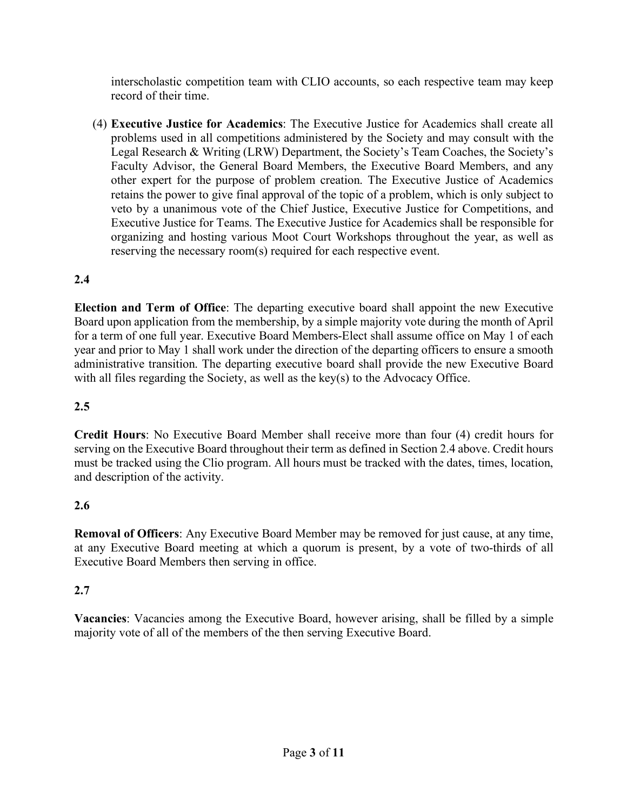interscholastic competition team with CLIO accounts, so each respective team may keep record of their time.

(4) **Executive Justice for Academics**: The Executive Justice for Academics shall create all problems used in all competitions administered by the Society and may consult with the Legal Research & Writing (LRW) Department, the Society's Team Coaches, the Society's Faculty Advisor, the General Board Members, the Executive Board Members, and any other expert for the purpose of problem creation. The Executive Justice of Academics retains the power to give final approval of the topic of a problem, which is only subject to veto by a unanimous vote of the Chief Justice, Executive Justice for Competitions, and Executive Justice for Teams. The Executive Justice for Academics shall be responsible for organizing and hosting various Moot Court Workshops throughout the year, as well as reserving the necessary room(s) required for each respective event.

# **2.4**

**Election and Term of Office**: The departing executive board shall appoint the new Executive Board upon application from the membership, by a simple majority vote during the month of April for a term of one full year. Executive Board Members-Elect shall assume office on May 1 of each year and prior to May 1 shall work under the direction of the departing officers to ensure a smooth administrative transition. The departing executive board shall provide the new Executive Board with all files regarding the Society, as well as the key(s) to the Advocacy Office.

## **2.5**

**Credit Hours**: No Executive Board Member shall receive more than four (4) credit hours for serving on the Executive Board throughout their term as defined in Section 2.4 above. Credit hours must be tracked using the Clio program. All hours must be tracked with the dates, times, location, and description of the activity.

## **2.6**

**Removal of Officers**: Any Executive Board Member may be removed for just cause, at any time, at any Executive Board meeting at which a quorum is present, by a vote of two-thirds of all Executive Board Members then serving in office.

## **2.7**

**Vacancies**: Vacancies among the Executive Board, however arising, shall be filled by a simple majority vote of all of the members of the then serving Executive Board.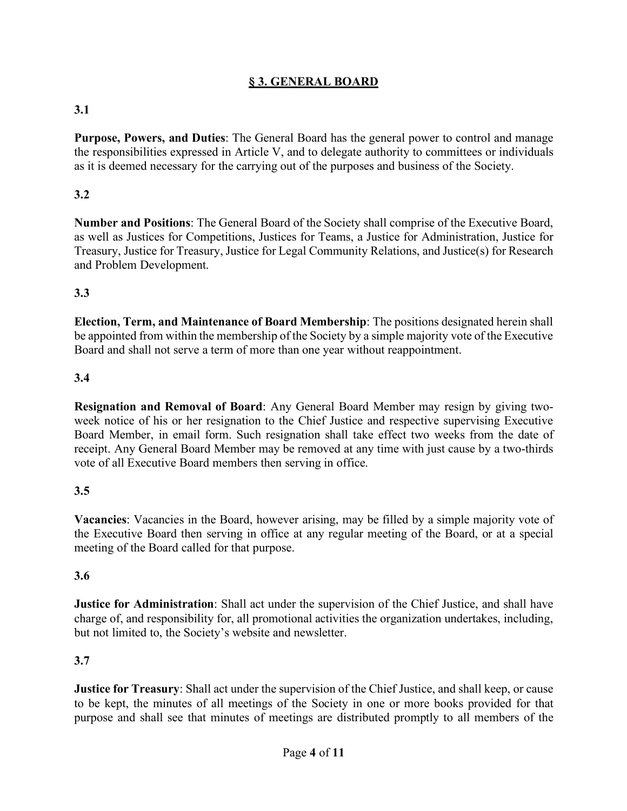## **§ 3. GENERAL BOARD**

# **3.1**

**Purpose, Powers, and Duties**: The General Board has the general power to control and manage the responsibilities expressed in Article V, and to delegate authority to committees or individuals as it is deemed necessary for the carrying out of the purposes and business of the Society.

## **3.2**

**Number and Positions**: The General Board of the Society shall comprise of the Executive Board, as well as Justices for Competitions, Justices for Teams, a Justice for Administration, Justice for Treasury, Justice for Treasury, Justice for Legal Community Relations, and Justice(s) for Research and Problem Development.

### **3.3**

**Election, Term, and Maintenance of Board Membership**: The positions designated herein shall be appointed from within the membership of the Society by a simple majority vote of the Executive Board and shall not serve a term of more than one year without reappointment.

### **3.4**

**Resignation and Removal of Board**: Any General Board Member may resign by giving twoweek notice of his or her resignation to the Chief Justice and respective supervising Executive Board Member, in email form. Such resignation shall take effect two weeks from the date of receipt. Any General Board Member may be removed at any time with just cause by a two-thirds vote of all Executive Board members then serving in office.

### **3.5**

**Vacancies**: Vacancies in the Board, however arising, may be filled by a simple majority vote of the Executive Board then serving in office at any regular meeting of the Board, or at a special meeting of the Board called for that purpose.

### **3.6**

**Justice for Administration**: Shall act under the supervision of the Chief Justice, and shall have charge of, and responsibility for, all promotional activities the organization undertakes, including, but not limited to, the Society's website and newsletter.

### **3.7**

**Justice for Treasury**: Shall act under the supervision of the Chief Justice, and shall keep, or cause to be kept, the minutes of all meetings of the Society in one or more books provided for that purpose and shall see that minutes of meetings are distributed promptly to all members of the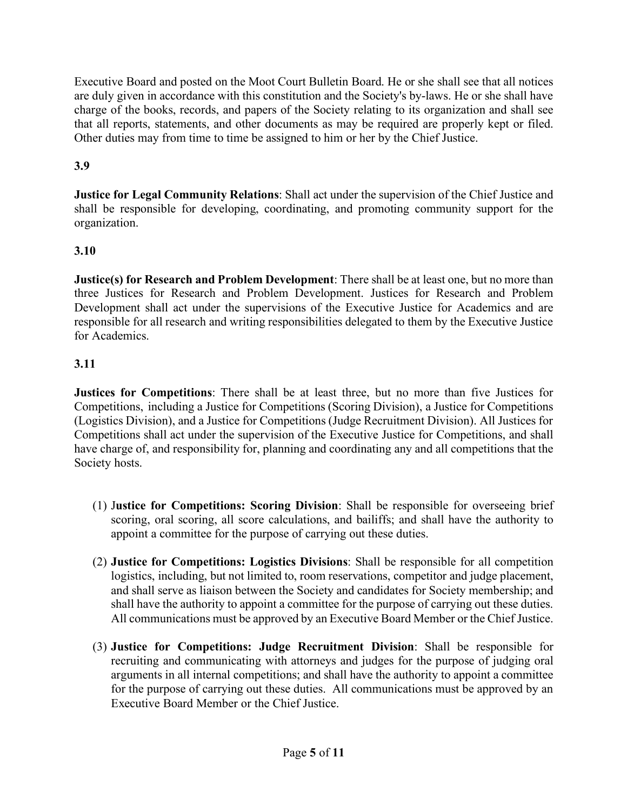Executive Board and posted on the Moot Court Bulletin Board. He or she shall see that all notices are duly given in accordance with this constitution and the Society's by-laws. He or she shall have charge of the books, records, and papers of the Society relating to its organization and shall see that all reports, statements, and other documents as may be required are properly kept or filed. Other duties may from time to time be assigned to him or her by the Chief Justice.

# **3.9**

**Justice for Legal Community Relations**: Shall act under the supervision of the Chief Justice and shall be responsible for developing, coordinating, and promoting community support for the organization.

## **3.10**

**Justice(s) for Research and Problem Development**: There shall be at least one, but no more than three Justices for Research and Problem Development. Justices for Research and Problem Development shall act under the supervisions of the Executive Justice for Academics and are responsible for all research and writing responsibilities delegated to them by the Executive Justice for Academics.

## **3.11**

**Justices for Competitions**: There shall be at least three, but no more than five Justices for Competitions, including a Justice for Competitions (Scoring Division), a Justice for Competitions (Logistics Division), and a Justice for Competitions (Judge Recruitment Division). All Justices for Competitions shall act under the supervision of the Executive Justice for Competitions, and shall have charge of, and responsibility for, planning and coordinating any and all competitions that the Society hosts.

- (1) J**ustice for Competitions: Scoring Division**: Shall be responsible for overseeing brief scoring, oral scoring, all score calculations, and bailiffs; and shall have the authority to appoint a committee for the purpose of carrying out these duties.
- (2) **Justice for Competitions: Logistics Divisions**: Shall be responsible for all competition logistics, including, but not limited to, room reservations, competitor and judge placement, and shall serve as liaison between the Society and candidates for Society membership; and shall have the authority to appoint a committee for the purpose of carrying out these duties. All communications must be approved by an Executive Board Member or the Chief Justice.
- (3) **Justice for Competitions: Judge Recruitment Division**: Shall be responsible for recruiting and communicating with attorneys and judges for the purpose of judging oral arguments in all internal competitions; and shall have the authority to appoint a committee for the purpose of carrying out these duties. All communications must be approved by an Executive Board Member or the Chief Justice.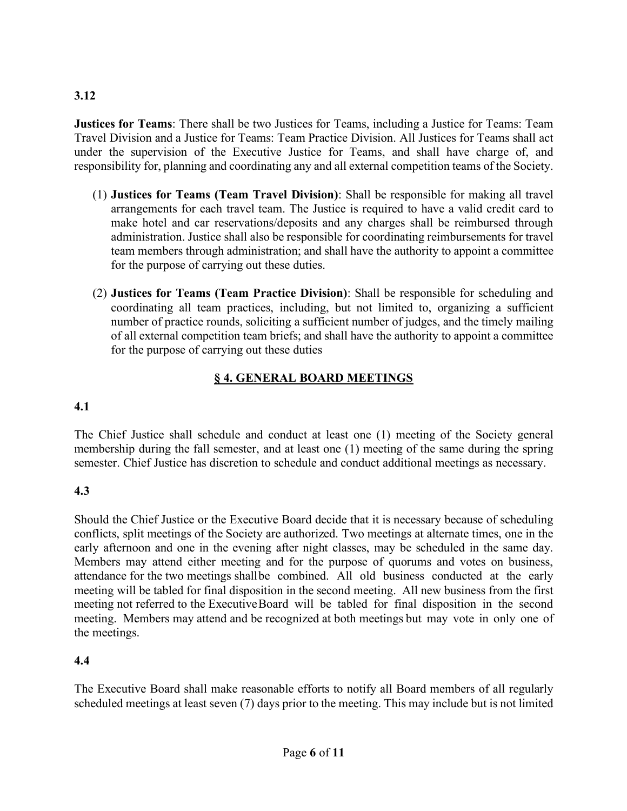## **3.12**

**Justices for Teams**: There shall be two Justices for Teams, including a Justice for Teams: Team Travel Division and a Justice for Teams: Team Practice Division. All Justices for Teams shall act under the supervision of the Executive Justice for Teams, and shall have charge of, and responsibility for, planning and coordinating any and all external competition teams of the Society.

- (1) **Justices for Teams (Team Travel Division)**: Shall be responsible for making all travel arrangements for each travel team. The Justice is required to have a valid credit card to make hotel and car reservations/deposits and any charges shall be reimbursed through administration. Justice shall also be responsible for coordinating reimbursements for travel team members through administration; and shall have the authority to appoint a committee for the purpose of carrying out these duties.
- (2) **Justices for Teams (Team Practice Division)**: Shall be responsible for scheduling and coordinating all team practices, including, but not limited to, organizing a sufficient number of practice rounds, soliciting a sufficient number of judges, and the timely mailing of all external competition team briefs; and shall have the authority to appoint a committee for the purpose of carrying out these duties

# **§ 4. GENERAL BOARD MEETINGS**

# **4.1**

The Chief Justice shall schedule and conduct at least one (1) meeting of the Society general membership during the fall semester, and at least one (1) meeting of the same during the spring semester. Chief Justice has discretion to schedule and conduct additional meetings as necessary.

## **4.3**

Should the Chief Justice or the Executive Board decide that it is necessary because of scheduling conflicts, split meetings of the Society are authorized. Two meetings at alternate times, one in the early afternoon and one in the evening after night classes, may be scheduled in the same day. Members may attend either meeting and for the purpose of quorums and votes on business, attendance for the two meetings shallbe combined. All old business conducted at the early meeting will be tabled for final disposition in the second meeting. All new business from the first meeting not referred to the ExecutiveBoard will be tabled for final disposition in the second meeting. Members may attend and be recognized at both meetings but may vote in only one of the meetings.

## **4.4**

The Executive Board shall make reasonable efforts to notify all Board members of all regularly scheduled meetings at least seven (7) days prior to the meeting. This may include but is not limited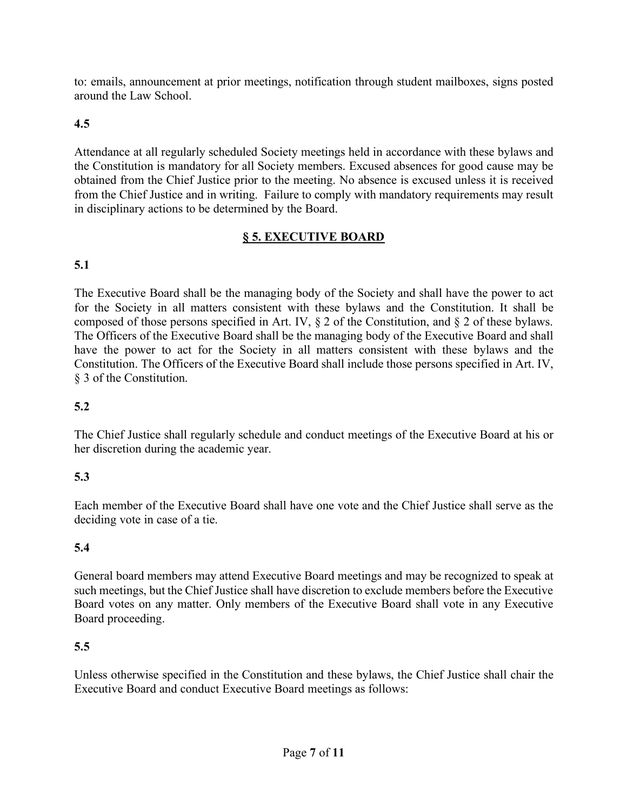to: emails, announcement at prior meetings, notification through student mailboxes, signs posted around the Law School.

# **4.5**

Attendance at all regularly scheduled Society meetings held in accordance with these bylaws and the Constitution is mandatory for all Society members. Excused absences for good cause may be obtained from the Chief Justice prior to the meeting. No absence is excused unless it is received from the Chief Justice and in writing. Failure to comply with mandatory requirements may result in disciplinary actions to be determined by the Board.

## **§ 5. EXECUTIVE BOARD**

# **5.1**

The Executive Board shall be the managing body of the Society and shall have the power to act for the Society in all matters consistent with these bylaws and the Constitution. It shall be composed of those persons specified in Art. IV, § 2 of the Constitution, and § 2 of these bylaws. The Officers of the Executive Board shall be the managing body of the Executive Board and shall have the power to act for the Society in all matters consistent with these bylaws and the Constitution. The Officers of the Executive Board shall include those persons specified in Art. IV, § 3 of the Constitution.

# **5.2**

The Chief Justice shall regularly schedule and conduct meetings of the Executive Board at his or her discretion during the academic year.

## **5.3**

Each member of the Executive Board shall have one vote and the Chief Justice shall serve as the deciding vote in case of a tie.

## **5.4**

General board members may attend Executive Board meetings and may be recognized to speak at such meetings, but the Chief Justice shall have discretion to exclude members before the Executive Board votes on any matter. Only members of the Executive Board shall vote in any Executive Board proceeding.

## **5.5**

Unless otherwise specified in the Constitution and these bylaws, the Chief Justice shall chair the Executive Board and conduct Executive Board meetings as follows: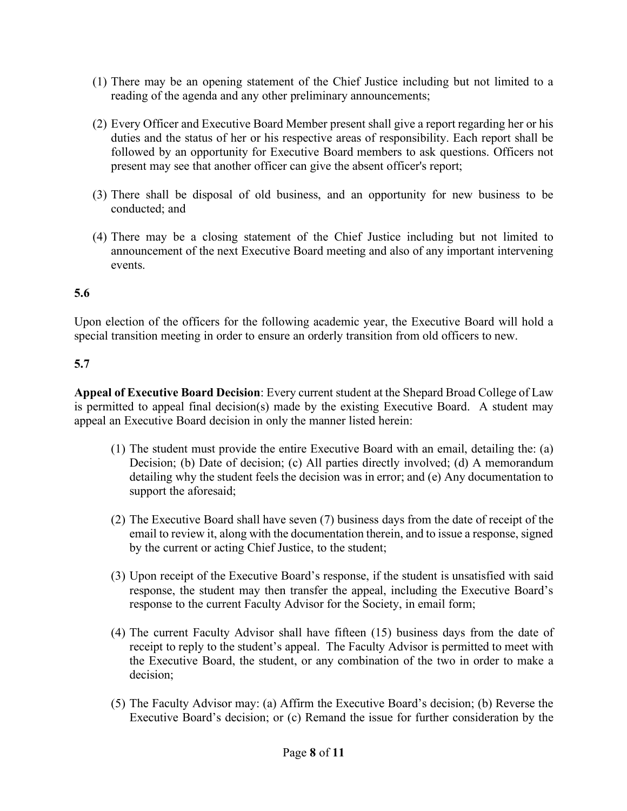- (1) There may be an opening statement of the Chief Justice including but not limited to a reading of the agenda and any other preliminary announcements;
- (2) Every Officer and Executive Board Member present shall give a report regarding her or his duties and the status of her or his respective areas of responsibility. Each report shall be followed by an opportunity for Executive Board members to ask questions. Officers not present may see that another officer can give the absent officer's report;
- (3) There shall be disposal of old business, and an opportunity for new business to be conducted; and
- (4) There may be a closing statement of the Chief Justice including but not limited to announcement of the next Executive Board meeting and also of any important intervening events.

# **5.6**

Upon election of the officers for the following academic year, the Executive Board will hold a special transition meeting in order to ensure an orderly transition from old officers to new.

# **5.7**

**Appeal of Executive Board Decision**: Every current student at the Shepard Broad College of Law is permitted to appeal final decision(s) made by the existing Executive Board. A student may appeal an Executive Board decision in only the manner listed herein:

- (1) The student must provide the entire Executive Board with an email, detailing the: (a) Decision; (b) Date of decision; (c) All parties directly involved; (d) A memorandum detailing why the student feels the decision was in error; and (e) Any documentation to support the aforesaid;
- (2) The Executive Board shall have seven (7) business days from the date of receipt of the email to review it, along with the documentation therein, and to issue a response, signed by the current or acting Chief Justice, to the student;
- (3) Upon receipt of the Executive Board's response, if the student is unsatisfied with said response, the student may then transfer the appeal, including the Executive Board's response to the current Faculty Advisor for the Society, in email form;
- (4) The current Faculty Advisor shall have fifteen (15) business days from the date of receipt to reply to the student's appeal. The Faculty Advisor is permitted to meet with the Executive Board, the student, or any combination of the two in order to make a decision;
- (5) The Faculty Advisor may: (a) Affirm the Executive Board's decision; (b) Reverse the Executive Board's decision; or (c) Remand the issue for further consideration by the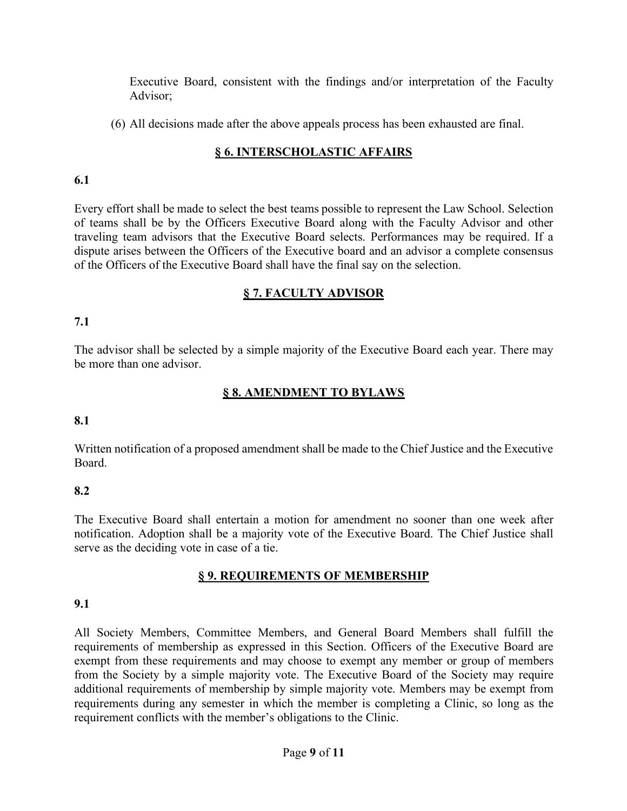Executive Board, consistent with the findings and/or interpretation of the Faculty Advisor;

(6) All decisions made after the above appeals process has been exhausted are final.

# **§ 6. INTERSCHOLASTIC AFFAIRS**

### **6.1**

Every effort shall be made to select the best teams possible to represent the Law School. Selection of teams shall be by the Officers Executive Board along with the Faculty Advisor and other traveling team advisors that the Executive Board selects. Performances may be required. If a dispute arises between the Officers of the Executive board and an advisor a complete consensus of the Officers of the Executive Board shall have the final say on the selection.

## **§ 7. FACULTY ADVISOR**

## **7.1**

The advisor shall be selected by a simple majority of the Executive Board each year. There may be more than one advisor.

## **§ 8. AMENDMENT TO BYLAWS**

### **8.1**

Written notification of a proposed amendment shall be made to the Chief Justice and the Executive Board.

### **8.2**

The Executive Board shall entertain a motion for amendment no sooner than one week after notification. Adoption shall be a majority vote of the Executive Board. The Chief Justice shall serve as the deciding vote in case of a tie.

### **§ 9. REQUIREMENTS OF MEMBERSHIP**

### **9.1**

All Society Members, Committee Members, and General Board Members shall fulfill the requirements of membership as expressed in this Section. Officers of the Executive Board are exempt from these requirements and may choose to exempt any member or group of members from the Society by a simple majority vote. The Executive Board of the Society may require additional requirements of membership by simple majority vote. Members may be exempt from requirements during any semester in which the member is completing a Clinic, so long as the requirement conflicts with the member's obligations to the Clinic.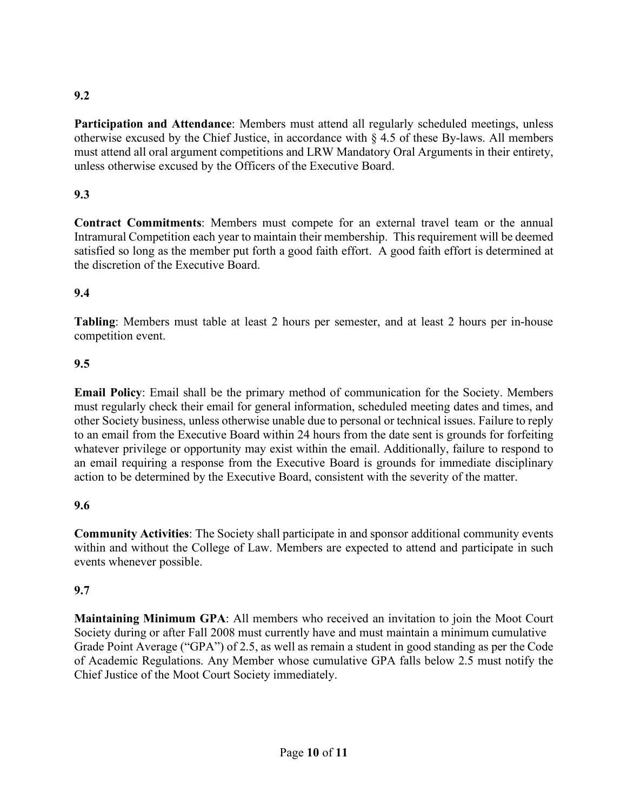## **9.2**

**Participation and Attendance**: Members must attend all regularly scheduled meetings, unless otherwise excused by the Chief Justice, in accordance with § 4.5 of these By-laws. All members must attend all oral argument competitions and LRW Mandatory Oral Arguments in their entirety, unless otherwise excused by the Officers of the Executive Board.

## **9.3**

**Contract Commitments**: Members must compete for an external travel team or the annual Intramural Competition each year to maintain their membership. This requirement will be deemed satisfied so long as the member put forth a good faith effort. A good faith effort is determined at the discretion of the Executive Board.

### **9.4**

**Tabling**: Members must table at least 2 hours per semester, and at least 2 hours per in-house competition event.

### **9.5**

**Email Policy**: Email shall be the primary method of communication for the Society. Members must regularly check their email for general information, scheduled meeting dates and times, and other Society business, unless otherwise unable due to personal or technical issues. Failure to reply to an email from the Executive Board within 24 hours from the date sent is grounds for forfeiting whatever privilege or opportunity may exist within the email. Additionally, failure to respond to an email requiring a response from the Executive Board is grounds for immediate disciplinary action to be determined by the Executive Board, consistent with the severity of the matter.

### **9.6**

**Community Activities**: The Society shall participate in and sponsor additional community events within and without the College of Law. Members are expected to attend and participate in such events whenever possible.

### **9.7**

**Maintaining Minimum GPA**: All members who received an invitation to join the Moot Court Society during or after Fall 2008 must currently have and must maintain a minimum cumulative Grade Point Average ("GPA") of 2.5, as well as remain a student in good standing as per the Code of Academic Regulations. Any Member whose cumulative GPA falls below 2.5 must notify the Chief Justice of the Moot Court Society immediately.